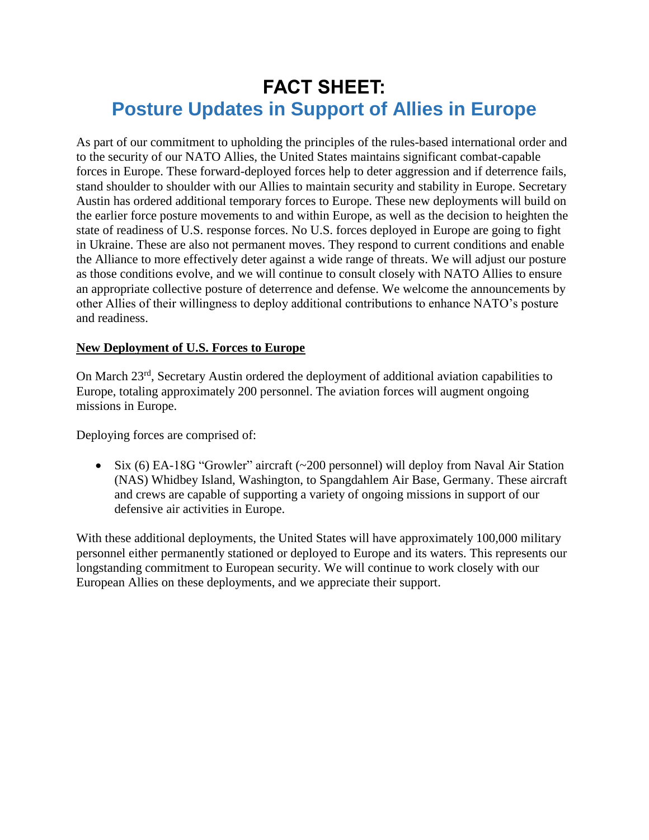# **FACT SHEET: Posture Updates in Support of Allies in Europe**

As part of our commitment to upholding the principles of the rules-based international order and to the security of our NATO Allies, the United States maintains significant combat-capable forces in Europe. These forward-deployed forces help to deter aggression and if deterrence fails, stand shoulder to shoulder with our Allies to maintain security and stability in Europe. Secretary Austin has ordered additional temporary forces to Europe. These new deployments will build on the earlier force posture movements to and within Europe, as well as the decision to heighten the state of readiness of U.S. response forces. No U.S. forces deployed in Europe are going to fight in Ukraine. These are also not permanent moves. They respond to current conditions and enable the Alliance to more effectively deter against a wide range of threats. We will adjust our posture as those conditions evolve, and we will continue to consult closely with NATO Allies to ensure an appropriate collective posture of deterrence and defense. We welcome the announcements by other Allies of their willingness to deploy additional contributions to enhance NATO's posture and readiness.

## **New Deployment of U.S. Forces to Europe**

On March 23rd, Secretary Austin ordered the deployment of additional aviation capabilities to Europe, totaling approximately 200 personnel. The aviation forces will augment ongoing missions in Europe.

Deploying forces are comprised of:

 $\bullet$  Six (6) EA-18G "Growler" aircraft (~200 personnel) will deploy from Naval Air Station (NAS) Whidbey Island, Washington, to Spangdahlem Air Base, Germany. These aircraft and crews are capable of supporting a variety of ongoing missions in support of our defensive air activities in Europe.

With these additional deployments, the United States will have approximately 100,000 military personnel either permanently stationed or deployed to Europe and its waters. This represents our longstanding commitment to European security. We will continue to work closely with our European Allies on these deployments, and we appreciate their support.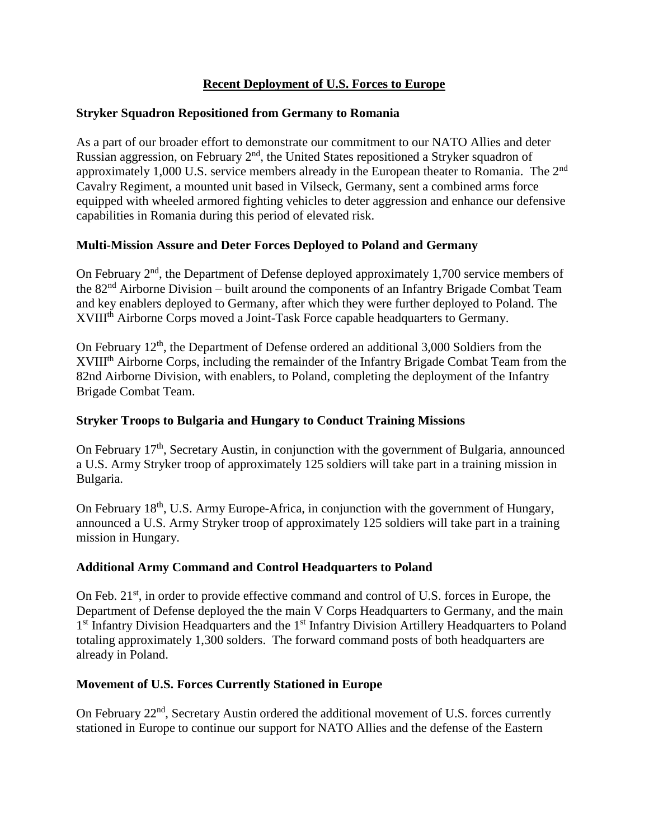# **Recent Deployment of U.S. Forces to Europe**

### **Stryker Squadron Repositioned from Germany to Romania**

As a part of our broader effort to demonstrate our commitment to our NATO Allies and deter Russian aggression, on February 2<sup>nd</sup>, the United States repositioned a Stryker squadron of approximately 1,000 U.S. service members already in the European theater to Romania. The 2nd Cavalry Regiment, a mounted unit based in Vilseck, Germany, sent a combined arms force equipped with wheeled armored fighting vehicles to deter aggression and enhance our defensive capabilities in Romania during this period of elevated risk.

## **Multi-Mission Assure and Deter Forces Deployed to Poland and Germany**

On February  $2<sup>nd</sup>$ , the Department of Defense deployed approximately 1,700 service members of the 82nd Airborne Division – built around the components of an Infantry Brigade Combat Team and key enablers deployed to Germany, after which they were further deployed to Poland. The XVIII<sup>th</sup> Airborne Corps moved a Joint-Task Force capable headquarters to Germany.

On February 12th, the Department of Defense ordered an additional 3,000 Soldiers from the XVIII<sup>th</sup> Airborne Corps, including the remainder of the Infantry Brigade Combat Team from the 82nd Airborne Division, with enablers, to Poland, completing the deployment of the Infantry Brigade Combat Team.

#### **Stryker Troops to Bulgaria and Hungary to Conduct Training Missions**

On February 17th, Secretary Austin, in conjunction with the government of Bulgaria, announced a U.S. Army Stryker troop of approximately 125 soldiers will take part in a training mission in Bulgaria.

On February 18<sup>th</sup>, U.S. Army Europe-Africa, in conjunction with the government of Hungary, announced a U.S. Army Stryker troop of approximately 125 soldiers will take part in a training mission in Hungary.

#### **Additional Army Command and Control Headquarters to Poland**

On Feb.  $21<sup>st</sup>$ , in order to provide effective command and control of U.S. forces in Europe, the Department of Defense deployed the the main V Corps Headquarters to Germany, and the main 1<sup>st</sup> Infantry Division Headquarters and the 1<sup>st</sup> Infantry Division Artillery Headquarters to Poland totaling approximately 1,300 solders. The forward command posts of both headquarters are already in Poland.

#### **Movement of U.S. Forces Currently Stationed in Europe**

On February  $22<sup>nd</sup>$ , Secretary Austin ordered the additional movement of U.S. forces currently stationed in Europe to continue our support for NATO Allies and the defense of the Eastern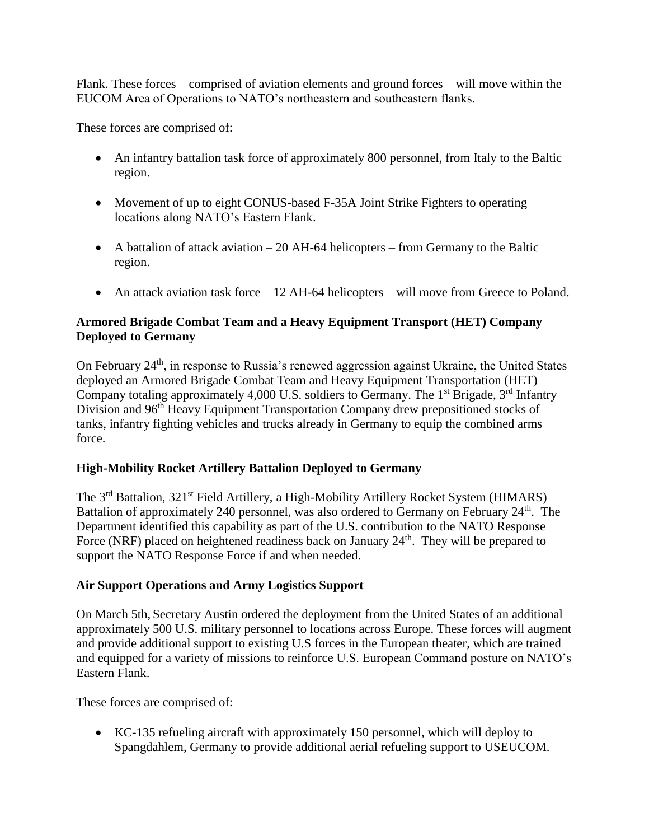Flank. These forces – comprised of aviation elements and ground forces – will move within the EUCOM Area of Operations to NATO's northeastern and southeastern flanks.

These forces are comprised of:

- An infantry battalion task force of approximately 800 personnel, from Italy to the Baltic region.
- Movement of up to eight CONUS-based F-35A Joint Strike Fighters to operating locations along NATO's Eastern Flank.
- A battalion of attack aviation  $-20$  AH-64 helicopters from Germany to the Baltic region.
- An attack aviation task force 12 AH-64 helicopters will move from Greece to Poland.

## **Armored Brigade Combat Team and a Heavy Equipment Transport (HET) Company Deployed to Germany**

On February 24th, in response to Russia's renewed aggression against Ukraine, the United States deployed an Armored Brigade Combat Team and Heavy Equipment Transportation (HET) Company totaling approximately 4,000 U.S. soldiers to Germany. The  $1<sup>st</sup>$  Brigade,  $3<sup>rd</sup>$  Infantry Division and 96<sup>th</sup> Heavy Equipment Transportation Company drew prepositioned stocks of tanks, infantry fighting vehicles and trucks already in Germany to equip the combined arms force.

## **High-Mobility Rocket Artillery Battalion Deployed to Germany**

The 3<sup>rd</sup> Battalion, 321<sup>st</sup> Field Artillery, a High-Mobility Artillery Rocket System (HIMARS) Battalion of approximately 240 personnel, was also ordered to Germany on February 24<sup>th</sup>. The Department identified this capability as part of the U.S. contribution to the NATO Response Force (NRF) placed on heightened readiness back on January 24<sup>th</sup>. They will be prepared to support the NATO Response Force if and when needed.

## **Air Support Operations and Army Logistics Support**

On March 5th, Secretary Austin ordered the deployment from the United States of an additional approximately 500 U.S. military personnel to locations across Europe. These forces will augment and provide additional support to existing U.S forces in the European theater, which are trained and equipped for a variety of missions to reinforce U.S. European Command posture on NATO's Eastern Flank.

These forces are comprised of:

 KC-135 refueling aircraft with approximately 150 personnel, which will deploy to Spangdahlem, Germany to provide additional aerial refueling support to USEUCOM.